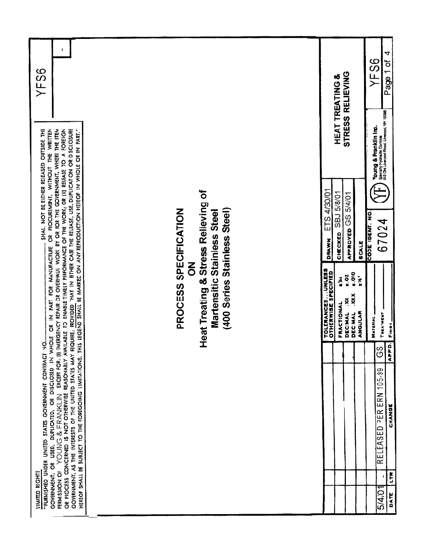| YFS6                                                                                                                                                                                                                                                                                                                                                                                                                                                                                                                                                                                                                                                                                                     |                                                                                                                                               | YFS6<br>Page 1 of<br>STRESS RELIEVING<br><b>HEAT TREATING &amp;</b><br><b>Young &amp; Franklin inc.</b><br>Specially Hydraulic Controls<br>942 Old Liverpool Road, Liverpoi, NY 13086                                    |
|----------------------------------------------------------------------------------------------------------------------------------------------------------------------------------------------------------------------------------------------------------------------------------------------------------------------------------------------------------------------------------------------------------------------------------------------------------------------------------------------------------------------------------------------------------------------------------------------------------------------------------------------------------------------------------------------------------|-----------------------------------------------------------------------------------------------------------------------------------------------|--------------------------------------------------------------------------------------------------------------------------------------------------------------------------------------------------------------------------|
| SHALL NOT BE EITHER RELEASED OUTSIDE THE                                                                                                                                                                                                                                                                                                                                                                                                                                                                                                                                                                                                                                                                 |                                                                                                                                               | 4/30/01<br><b>SBJ 5/8/01</b><br>5/4/01<br>CODE IDENT. NO.<br>APPROVED GS<br>ETS<br>67024<br>CHECKED<br>DRAWN<br><b>SCALE</b>                                                                                             |
| ا<br>S                                                                                                                                                                                                                                                                                                                                                                                                                                                                                                                                                                                                                                                                                                   | Heat Treating & Stress Relieving of<br>(400 Series Stainless Steel)<br>PROCESS SPECIFICATION<br>Martensitic Stainless Steel<br>$\overline{5}$ | TOLERANCESUNLESS<br>OTHERWISE SPECIFIED<br>0.014<br>$25 - 3$<br>$\ddot{\bm{x}}$<br>یڈ<br>XXX.<br>Ř<br>FRACTIONAL<br><b>DECINAL</b><br>ANGULAR<br>TREATMENT<br><b>DECIMAL</b><br>MATERIAL<br>Finish<br>APPD.<br><u>င်</u> |
| GOVERNMENT, OR USED, DUPLICATED, OR DISCLOSED IN WHOLE OR IN PART FOR MANUFACTURE OR PROCUREMENT, WITHOUT THE WRITTEN<br>PERMISSION OF YOUNG & FRANKLIN EXCEPT FOR: (1) EMERGENCY REPAIR OR OVERHAUL WORK BY OR FOR THE GOVERNMENT, WHERE THE ITEM<br>OR PROCESS CONCERNED IS NOT OTHERWISE REASOVABLY AVAILABLE TO ENABLE TIMELY PERFORMANCE OF THE WORK;<br>GOVIRNMENT, AS THE INTERESTS OF THE UNITED STATED STATED MAY REQUIRE, PROVIDED THAT IN EITHER CASE THE RELEASE, USE, DUPLICATION OR DISCLOSURE<br>HEREOF SHALL BE SUBJECT TO THE FOREGOING LIMITATIONS. THIS LEGEND SHALL BE MARKED ON ANY REPRODUCTION HEREOF IN WHOLE OR IN PART."<br>"FURNISHED UNDER UNITED STATES GOVERNMENT CONTRACT |                                                                                                                                               | RELEASED PER ERN 105-99<br>CHANGE                                                                                                                                                                                        |
| <b>LIMITED RIGHTS</b>                                                                                                                                                                                                                                                                                                                                                                                                                                                                                                                                                                                                                                                                                    |                                                                                                                                               | LTR.<br>5/4/01<br>DATE                                                                                                                                                                                                   |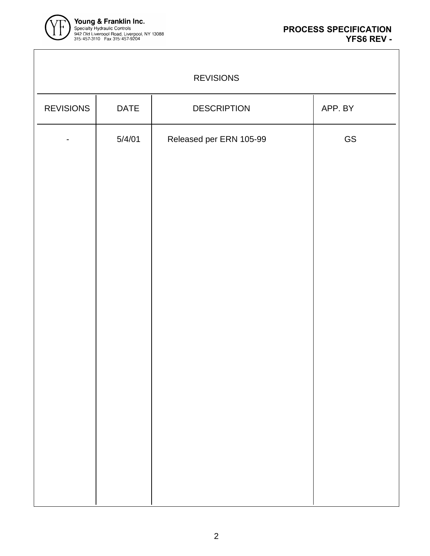

| <b>REVISIONS</b> |             |                         |         |
|------------------|-------------|-------------------------|---------|
| <b>REVISIONS</b> | <b>DATE</b> | <b>DESCRIPTION</b>      | APP. BY |
|                  | 5/4/01      | Released per ERN 105-99 | GS      |
|                  |             |                         |         |
|                  |             |                         |         |
|                  |             |                         |         |
|                  |             |                         |         |
|                  |             |                         |         |
|                  |             |                         |         |
|                  |             |                         |         |
|                  |             |                         |         |
|                  |             |                         |         |
|                  |             |                         |         |
|                  |             |                         |         |
|                  |             |                         |         |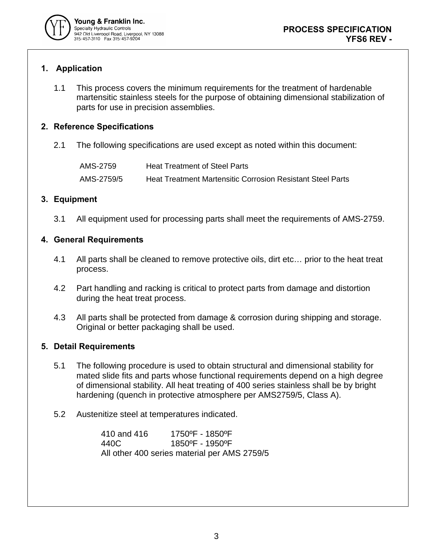

# **1. Application**

1.1 This process covers the minimum requirements for the treatment of hardenable martensitic stainless steels for the purpose of obtaining dimensional stabilization of parts for use in precision assemblies.

## **2. Reference Specifications**

2.1 The following specifications are used except as noted within this document:

| AMS-2759   | Heat Treatment of Steel Parts                              |
|------------|------------------------------------------------------------|
| AMS-2759/5 | Heat Treatment Martensitic Corrosion Resistant Steel Parts |

### **3. Equipment**

3.1 All equipment used for processing parts shall meet the requirements of AMS-2759.

### **4. General Requirements**

- 4.1 All parts shall be cleaned to remove protective oils, dirt etc… prior to the heat treat process.
- 4.2 Part handling and racking is critical to protect parts from damage and distortion during the heat treat process.
- 4.3 All parts shall be protected from damage & corrosion during shipping and storage. Original or better packaging shall be used.

### **5. Detail Requirements**

- 5.1 The following procedure is used to obtain structural and dimensional stability for mated slide fits and parts whose functional requirements depend on a high degree of dimensional stability. All heat treating of 400 series stainless shall be by bright hardening (quench in protective atmosphere per AMS2759/5, Class A).
- 5.2 Austenitize steel at temperatures indicated.

410 and 416 1750ºF - 1850ºF 440C 1850ºF - 1950ºF All other 400 series material per AMS 2759/5